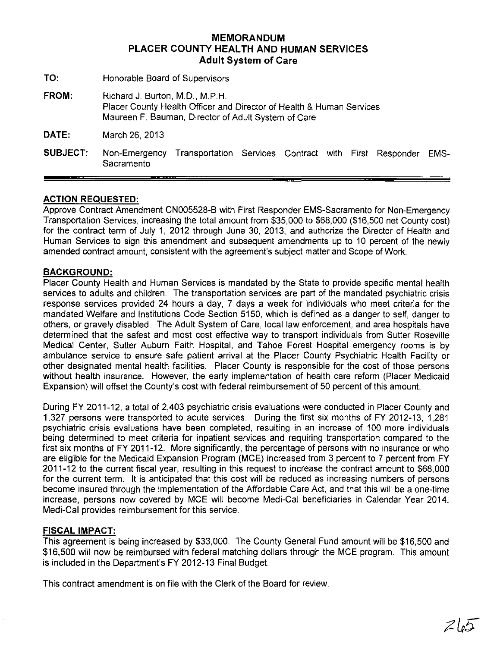# **MEMORANDUM PLACER COUNTY HEALTH AND HUMAN SERVICES Adult System of Care**

- **TO:** Honorable Board of Supervisors
- FROM: Richard J. Burton, M.D., M.P.H. Placer County Health Officer and Director of Health & Human Services Maureen F. Bauman, Director of Adult System of Care
- **DATE:** March 26,2013
- **SUBJECT:** Non-Emergency Transportation Services Contract with First Responder EMS-**Sacramento**

## **ACTION REQUESTED:**

Approve Contract Amendment CN005528-B with First Responder EMS-Sacramento for Non-Emergency Transportation Services, increasing the total amount from \$35,000 to \$68,000 (\$16,500 net County cost) for the contract term of July 1, 2012 through June 30, 2013, and authorize the Director of Health and Human Services to sign this amendment and subsequent amendments up to 10 percent of the newly amended contract amount, consistent with the agreement's subject matter and Scope of Work.

### **BACKGROUND:**

Placer County Health and Human Services is mandated by the State to provide specific mental health services to adults and children. The transportation services are part of the mandated psychiatric crisis response services provided 24 hours a day, 7 days a week for individuals who meet criteria for the mandated Welfare and Institutions Code Section 5150, which is defined as a danger to self, danger to others, or gravely disabled. The Adult System of Care, local law enforcement, and area hospitals have determined that the safest and most cost effective way to transport individuals from Sutter Roseville Medical Center, Sutter Auburn Faith Hospital, and Tahoe Forest Hospital emergency rooms is by ambulance service to ensure safe patient arrival at the Placer County Psychiatric Health Facility or other designated mental health facilities. Placer County is responsible for the cost of those persons without health insurance. However, the early implementation of health care reform (Placer Medicaid Expansion) will offset the County's cost with federal reimbursement of 50 percent of this amount.

During FY 2011-12, a total of 2,403 psychiatric crisis evaluations were conducted in Placer County and 1,327 persons were transported to acute services. During the first six months of FY 2012-13, 1,281 psychiatric crisis evaluations have been completed, resulting in an increase of 100 more individuals being determined to meet criteria for inpatient services and requiring transportation compared to the first six months of FY 2011-12. More significantly, the percentage of persons with no insurance or who are eligible for the Medicaid Expansion Program (MCE) increased from 3 percent to 7 percent from FY 2011-12 to the current fiscal year, resulting in this request to increase the contract amount to \$68,000 for the current term. It is anticipated that this cost will be reduced as increasing numbers of persons become insured through the implementation of the Affordable Care Act, and that this will be a one-time increase, persons now covered by MCE will become Medi-Cal beneficiaries in Calendar Year 2014. Medi-Cal provides reimbursement for this service.

#### **FISCAL IMPACT:**

This agreement is being increased by \$33,000. The County General Fund amount will be \$16,500 and \$16,500 will now be reimbursed with federal matching dollars through the MCE program. This amount is included in the Department's FY 2012-13 Final Budget.

This contract amendment is on file with the Clerk of the Board for review.